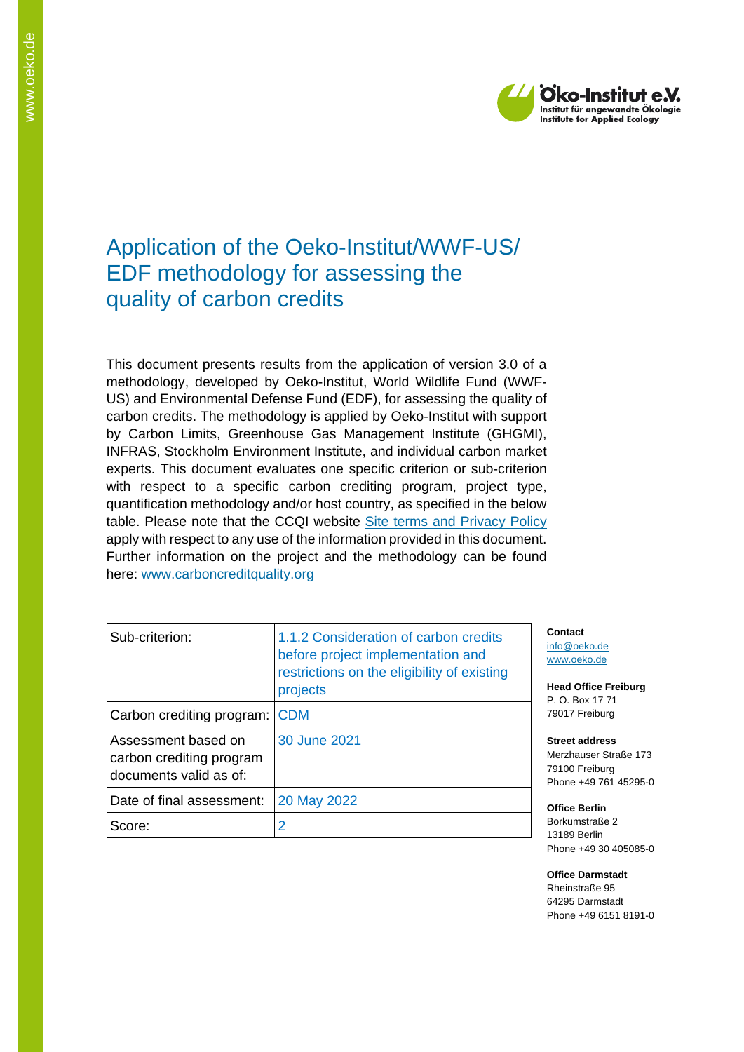

## Application of the Oeko-Institut/WWF-US/ EDF methodology for assessing the quality of carbon credits

This document presents results from the application of version 3.0 of a methodology, developed by Oeko-Institut, World Wildlife Fund (WWF-US) and Environmental Defense Fund (EDF), for assessing the quality of carbon credits. The methodology is applied by Oeko-Institut with support by Carbon Limits, Greenhouse Gas Management Institute (GHGMI), INFRAS, Stockholm Environment Institute, and individual carbon market experts. This document evaluates one specific criterion or sub-criterion with respect to a specific carbon crediting program, project type, quantification methodology and/or host country, as specified in the below table. Please note that the CCQI website [Site terms and Privacy Policy](https://carboncreditquality.org/terms.html) apply with respect to any use of the information provided in this document. Further information on the project and the methodology can be found here: [www.carboncreditquality.org](http://www.carboncreditquality.org/)

| Sub-criterion:                                                            | 1.1.2 Consideration of carbon credits<br>before project implementation and<br>restrictions on the eligibility of existing<br>projects |  |
|---------------------------------------------------------------------------|---------------------------------------------------------------------------------------------------------------------------------------|--|
| Carbon crediting program:                                                 | <b>CDM</b>                                                                                                                            |  |
| Assessment based on<br>carbon crediting program<br>documents valid as of: | 30 June 2021                                                                                                                          |  |
| Date of final assessment:                                                 | 20 May 2022                                                                                                                           |  |
| Score:                                                                    |                                                                                                                                       |  |

**Contact** nfo@oeko.de [www.oeko.de](http://www.oeko.de/)

**Head Office Freiburg** P. O. Box 17 71 79017 Freiburg

**Street address** Merzhauser Straße 173 79100 Freiburg Phone +49 761 45295-0

**Office Berlin** Borkumstraße 2 13189 Berlin Phone +49 30 405085-0

**Office Darmstadt** Rheinstraße 95 64295 Darmstadt Phone +49 6151 8191-0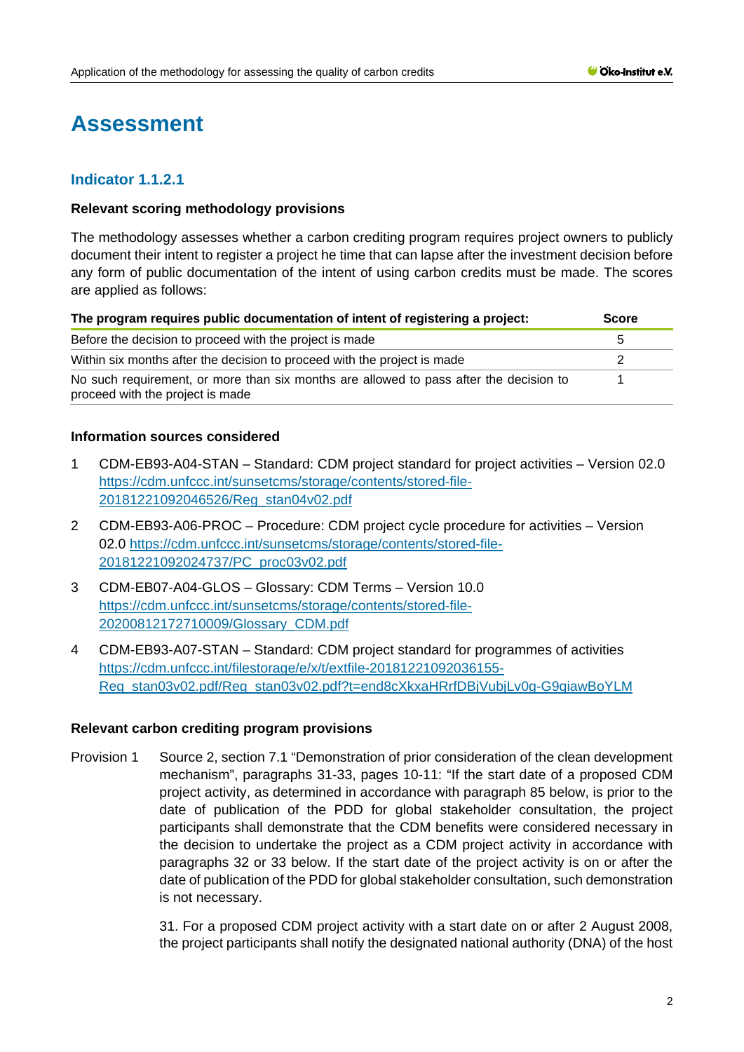# **Assessment**

## **Indicator 1.1.2.1**

#### **Relevant scoring methodology provisions**

The methodology assesses whether a carbon crediting program requires project owners to publicly document their intent to register a project he time that can lapse after the investment decision before any form of public documentation of the intent of using carbon credits must be made. The scores are applied as follows:

| The program requires public documentation of intent of registering a project:                                              |    |
|----------------------------------------------------------------------------------------------------------------------------|----|
| Before the decision to proceed with the project is made                                                                    | :5 |
| Within six months after the decision to proceed with the project is made                                                   |    |
| No such requirement, or more than six months are allowed to pass after the decision to<br>proceed with the project is made |    |

#### **Information sources considered**

- 1 CDM-EB93-A04-STAN Standard: CDM project standard for project activities Version 02.0 [https://cdm.unfccc.int/sunsetcms/storage/contents/stored-file-](https://cdm.unfccc.int/sunsetcms/storage/contents/stored-file-20181221092046526/Reg_stan04v02.pdf)[20181221092046526/Reg\\_stan04v02.pdf](https://cdm.unfccc.int/sunsetcms/storage/contents/stored-file-20181221092046526/Reg_stan04v02.pdf)
- 2 CDM-EB93-A06-PROC Procedure: CDM project cycle procedure for activities Version 02.0 [https://cdm.unfccc.int/sunsetcms/storage/contents/stored-file-](https://cdm.unfccc.int/sunsetcms/storage/contents/stored-file-20181221092024737/PC_proc03v02.pdf)[20181221092024737/PC\\_proc03v02.pdf](https://cdm.unfccc.int/sunsetcms/storage/contents/stored-file-20181221092024737/PC_proc03v02.pdf)
- 3 CDM-EB07-A04-GLOS Glossary: CDM Terms Version 10.0 [https://cdm.unfccc.int/sunsetcms/storage/contents/stored-file-](https://cdm.unfccc.int/sunsetcms/storage/contents/stored-file-20200812172710009/Glossary_CDM.pdf)[20200812172710009/Glossary\\_CDM.pdf](https://cdm.unfccc.int/sunsetcms/storage/contents/stored-file-20200812172710009/Glossary_CDM.pdf)
- 4 CDM-EB93-A07-STAN Standard: CDM project standard for programmes of activities [https://cdm.unfccc.int/filestorage/e/x/t/extfile-20181221092036155-](https://cdm.unfccc.int/filestorage/e/x/t/extfile-20181221092036155-Reg_stan03v02.pdf/Reg_stan03v02.pdf?t=end8cXkxaHRrfDBjVubjLv0g-G9qiawBoYLM) [Reg\\_stan03v02.pdf/Reg\\_stan03v02.pdf?t=end8cXkxaHRrfDBjVubjLv0g-G9qiawBoYLM](https://cdm.unfccc.int/filestorage/e/x/t/extfile-20181221092036155-Reg_stan03v02.pdf/Reg_stan03v02.pdf?t=end8cXkxaHRrfDBjVubjLv0g-G9qiawBoYLM)

#### **Relevant carbon crediting program provisions**

Provision 1 Source 2, section 7.1 "Demonstration of prior consideration of the clean development mechanism", paragraphs 31-33, pages 10-11: "If the start date of a proposed CDM project activity, as determined in accordance with paragraph 85 below, is prior to the date of publication of the PDD for global stakeholder consultation, the project participants shall demonstrate that the CDM benefits were considered necessary in the decision to undertake the project as a CDM project activity in accordance with paragraphs 32 or 33 below. If the start date of the project activity is on or after the date of publication of the PDD for global stakeholder consultation, such demonstration is not necessary.

> 31. For a proposed CDM project activity with a start date on or after 2 August 2008, the project participants shall notify the designated national authority (DNA) of the host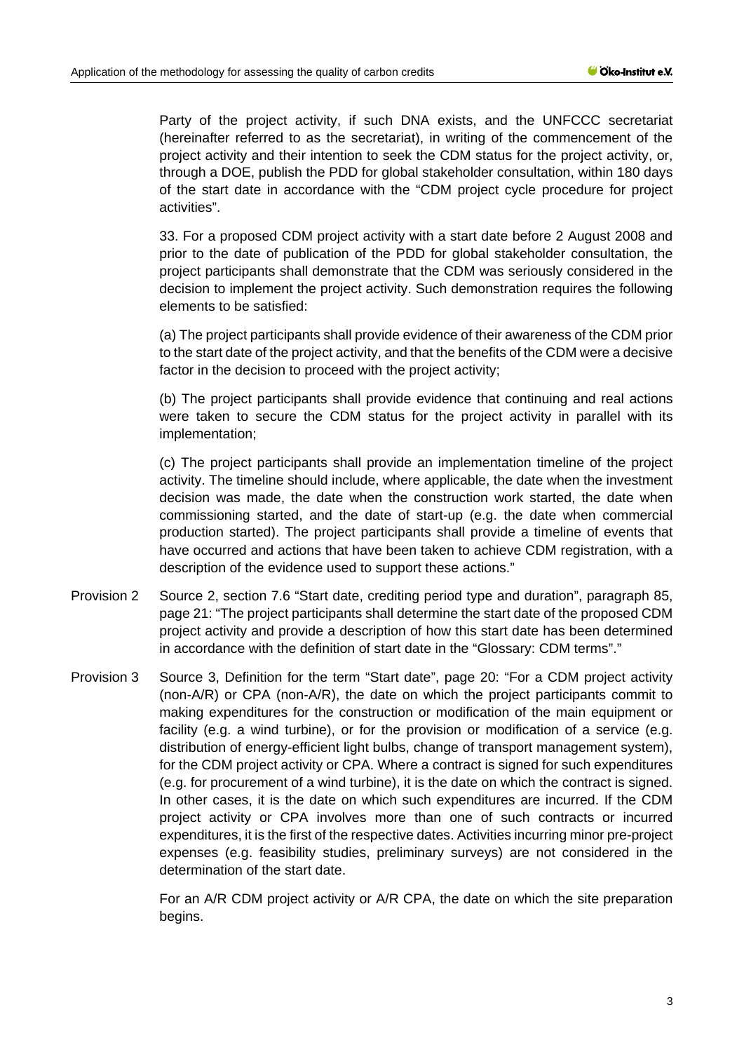Party of the project activity, if such DNA exists, and the UNFCCC secretariat (hereinafter referred to as the secretariat), in writing of the commencement of the project activity and their intention to seek the CDM status for the project activity, or, through a DOE, publish the PDD for global stakeholder consultation, within 180 days of the start date in accordance with the "CDM project cycle procedure for project activities".

33. For a proposed CDM project activity with a start date before 2 August 2008 and prior to the date of publication of the PDD for global stakeholder consultation, the project participants shall demonstrate that the CDM was seriously considered in the decision to implement the project activity. Such demonstration requires the following elements to be satisfied:

(a) The project participants shall provide evidence of their awareness of the CDM prior to the start date of the project activity, and that the benefits of the CDM were a decisive factor in the decision to proceed with the project activity;

(b) The project participants shall provide evidence that continuing and real actions were taken to secure the CDM status for the project activity in parallel with its implementation;

(c) The project participants shall provide an implementation timeline of the project activity. The timeline should include, where applicable, the date when the investment decision was made, the date when the construction work started, the date when commissioning started, and the date of start-up (e.g. the date when commercial production started). The project participants shall provide a timeline of events that have occurred and actions that have been taken to achieve CDM registration, with a description of the evidence used to support these actions."

- Provision 2 Source 2, section 7.6 "Start date, crediting period type and duration", paragraph 85, page 21: "The project participants shall determine the start date of the proposed CDM project activity and provide a description of how this start date has been determined in accordance with the definition of start date in the "Glossary: CDM terms"."
- Provision 3 Source 3, Definition for the term "Start date", page 20: "For a CDM project activity (non-A/R) or CPA (non-A/R), the date on which the project participants commit to making expenditures for the construction or modification of the main equipment or facility (e.g. a wind turbine), or for the provision or modification of a service (e.g. distribution of energy-efficient light bulbs, change of transport management system), for the CDM project activity or CPA. Where a contract is signed for such expenditures (e.g. for procurement of a wind turbine), it is the date on which the contract is signed. In other cases, it is the date on which such expenditures are incurred. If the CDM project activity or CPA involves more than one of such contracts or incurred expenditures, it is the first of the respective dates. Activities incurring minor pre-project expenses (e.g. feasibility studies, preliminary surveys) are not considered in the determination of the start date.

For an A/R CDM project activity or A/R CPA, the date on which the site preparation begins.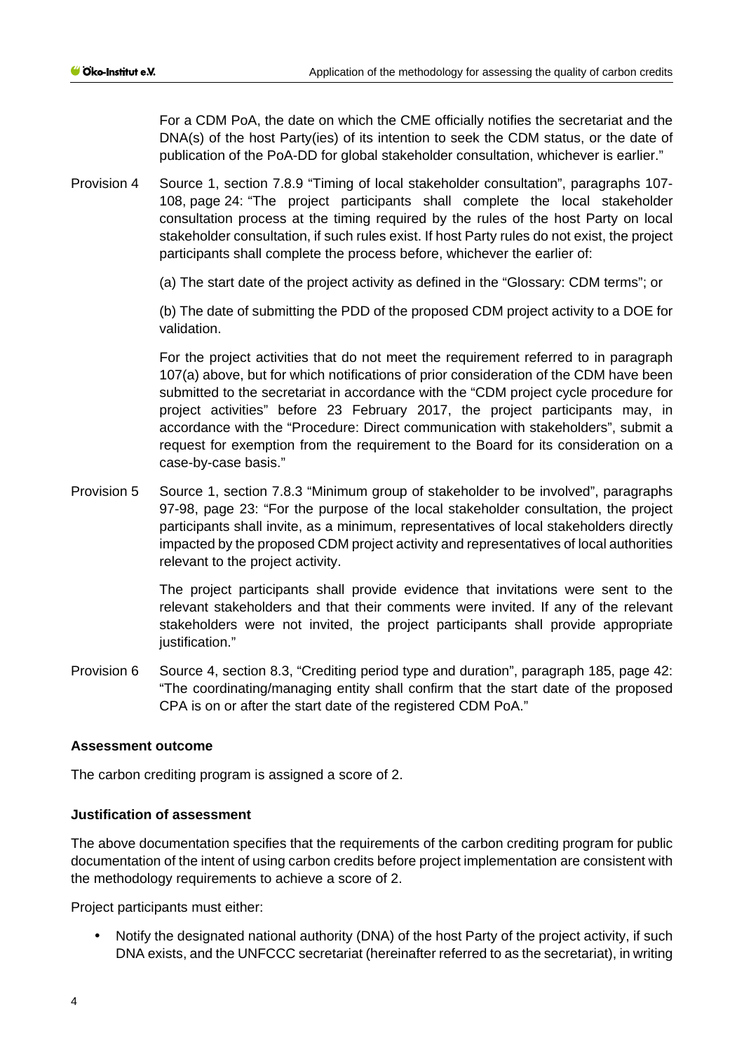For a CDM PoA, the date on which the CME officially notifies the secretariat and the DNA(s) of the host Party(ies) of its intention to seek the CDM status, or the date of publication of the PoA-DD for global stakeholder consultation, whichever is earlier."

Provision 4 Source 1, section 7.8.9 "Timing of local stakeholder consultation", paragraphs 107- 108, page 24: "The project participants shall complete the local stakeholder consultation process at the timing required by the rules of the host Party on local stakeholder consultation, if such rules exist. If host Party rules do not exist, the project participants shall complete the process before, whichever the earlier of:

(a) The start date of the project activity as defined in the "Glossary: CDM terms"; or

(b) The date of submitting the PDD of the proposed CDM project activity to a DOE for validation.

For the project activities that do not meet the requirement referred to in paragraph 107(a) above, but for which notifications of prior consideration of the CDM have been submitted to the secretariat in accordance with the "CDM project cycle procedure for project activities" before 23 February 2017, the project participants may, in accordance with the "Procedure: Direct communication with stakeholders", submit a request for exemption from the requirement to the Board for its consideration on a case-by-case basis."

Provision 5 Source 1, section 7.8.3 "Minimum group of stakeholder to be involved", paragraphs 97-98, page 23: "For the purpose of the local stakeholder consultation, the project participants shall invite, as a minimum, representatives of local stakeholders directly impacted by the proposed CDM project activity and representatives of local authorities relevant to the project activity.

> The project participants shall provide evidence that invitations were sent to the relevant stakeholders and that their comments were invited. If any of the relevant stakeholders were not invited, the project participants shall provide appropriate justification."

Provision 6 Source 4, section 8.3, "Crediting period type and duration", paragraph 185, page 42: "The coordinating/managing entity shall confirm that the start date of the proposed CPA is on or after the start date of the registered CDM PoA."

#### **Assessment outcome**

The carbon crediting program is assigned a score of 2.

#### **Justification of assessment**

The above documentation specifies that the requirements of the carbon crediting program for public documentation of the intent of using carbon credits before project implementation are consistent with the methodology requirements to achieve a score of 2.

Project participants must either:

Notify the designated national authority (DNA) of the host Party of the project activity, if such DNA exists, and the UNFCCC secretariat (hereinafter referred to as the secretariat), in writing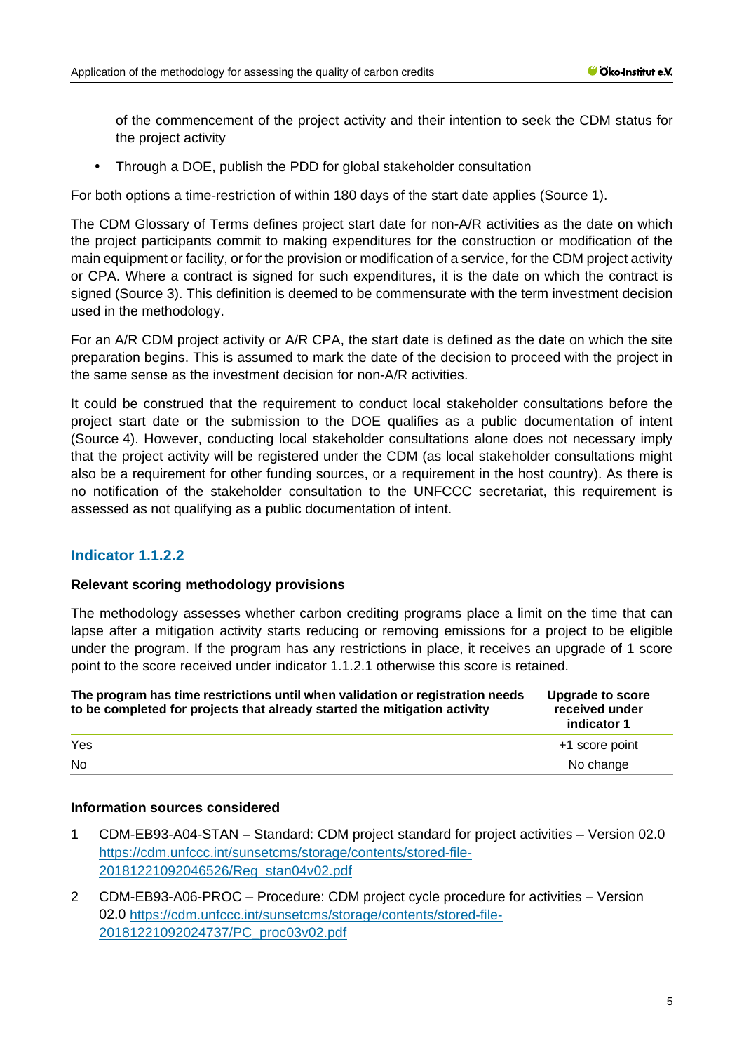of the commencement of the project activity and their intention to seek the CDM status for the project activity

Through a DOE, publish the PDD for global stakeholder consultation

For both options a time-restriction of within 180 days of the start date applies (Source 1).

The CDM Glossary of Terms defines project start date for non-A/R activities as the date on which the project participants commit to making expenditures for the construction or modification of the main equipment or facility, or for the provision or modification of a service, for the CDM project activity or CPA. Where a contract is signed for such expenditures, it is the date on which the contract is signed (Source 3). This definition is deemed to be commensurate with the term investment decision used in the methodology.

For an A/R CDM project activity or A/R CPA, the start date is defined as the date on which the site preparation begins. This is assumed to mark the date of the decision to proceed with the project in the same sense as the investment decision for non-A/R activities.

It could be construed that the requirement to conduct local stakeholder consultations before the project start date or the submission to the DOE qualifies as a public documentation of intent (Source 4). However, conducting local stakeholder consultations alone does not necessary imply that the project activity will be registered under the CDM (as local stakeholder consultations might also be a requirement for other funding sources, or a requirement in the host country). As there is no notification of the stakeholder consultation to the UNFCCC secretariat, this requirement is assessed as not qualifying as a public documentation of intent.

### **Indicator 1.1.2.2**

#### **Relevant scoring methodology provisions**

The methodology assesses whether carbon crediting programs place a limit on the time that can lapse after a mitigation activity starts reducing or removing emissions for a project to be eligible under the program. If the program has any restrictions in place, it receives an upgrade of 1 score point to the score received under indicator 1.1.2.1 otherwise this score is retained.

| The program has time restrictions until when validation or registration needs<br>to be completed for projects that already started the mitigation activity | <b>Upgrade to score</b><br>received under<br>indicator 1 |  |
|------------------------------------------------------------------------------------------------------------------------------------------------------------|----------------------------------------------------------|--|
| Yes                                                                                                                                                        | +1 score point                                           |  |
| <b>No</b>                                                                                                                                                  | No change                                                |  |

#### **Information sources considered**

- 1 CDM-EB93-A04-STAN Standard: CDM project standard for project activities Version 02.0 [https://cdm.unfccc.int/sunsetcms/storage/contents/stored-file-](https://cdm.unfccc.int/sunsetcms/storage/contents/stored-file-20181221092046526/Reg_stan04v02.pdf)[20181221092046526/Reg\\_stan04v02.pdf](https://cdm.unfccc.int/sunsetcms/storage/contents/stored-file-20181221092046526/Reg_stan04v02.pdf)
- 2 CDM-EB93-A06-PROC Procedure: CDM project cycle procedure for activities Version 02.0 [https://cdm.unfccc.int/sunsetcms/storage/contents/stored-file-](https://cdm.unfccc.int/sunsetcms/storage/contents/stored-file-20181221092024737/PC_proc03v02.pdf)[20181221092024737/PC\\_proc03v02.pdf](https://cdm.unfccc.int/sunsetcms/storage/contents/stored-file-20181221092024737/PC_proc03v02.pdf)